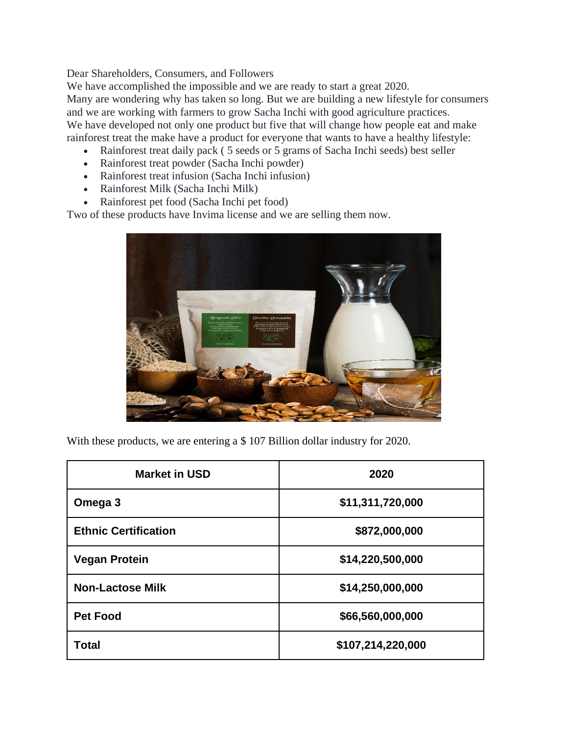Dear Shareholders, Consumers, and Followers

We have accomplished the impossible and we are ready to start a great 2020.

Many are wondering why has taken so long. But we are building a new lifestyle for consumers and we are working with farmers to grow Sacha Inchi with good agriculture practices. We have developed not only one product but five that will change how people eat and make rainforest treat the make have a product for everyone that wants to have a healthy lifestyle:

- Rainforest treat daily pack ( 5 seeds or 5 grams of Sacha Inchi seeds) best seller
- Rainforest treat powder (Sacha Inchi powder)
- Rainforest treat infusion (Sacha Inchi infusion)
- Rainforest Milk (Sacha Inchi Milk)
- Rainforest pet food (Sacha Inchi pet food)

Two of these products have Invima license and we are selling them now.



With these products, we are entering a \$ 107 Billion dollar industry for 2020.

| <b>Market in USD</b>        | 2020              |
|-----------------------------|-------------------|
| Omega 3                     | \$11,311,720,000  |
| <b>Ethnic Certification</b> | \$872,000,000     |
| <b>Vegan Protein</b>        | \$14,220,500,000  |
| <b>Non-Lactose Milk</b>     | \$14,250,000,000  |
| <b>Pet Food</b>             | \$66,560,000,000  |
| Total                       | \$107,214,220,000 |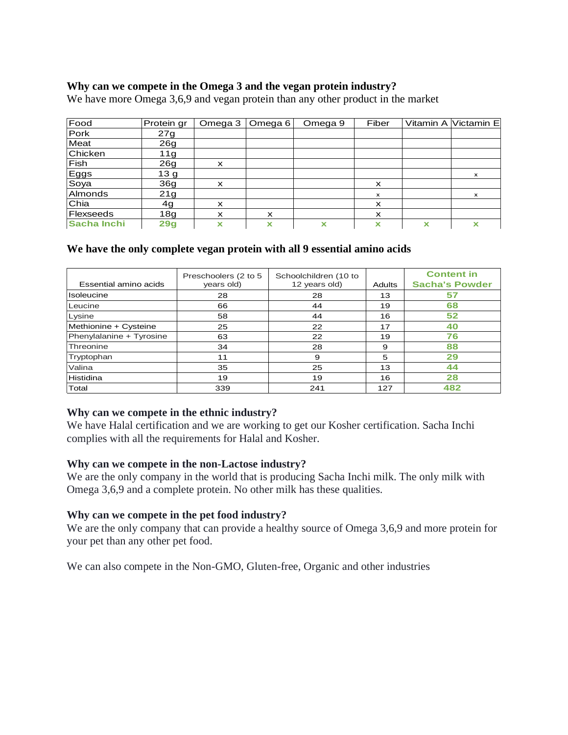# **Why can we compete in the Omega 3 and the vegan protein industry?**

We have more Omega 3,6,9 and vegan protein than any other product in the market

| Food        | Protein gr      | Omega 3                   | Omega 6                   | Omega 9 | Fiber                     |   | Vitamin A Victamin E |
|-------------|-----------------|---------------------------|---------------------------|---------|---------------------------|---|----------------------|
| Pork        | 27g             |                           |                           |         |                           |   |                      |
| Meat        | 26 <sub>g</sub> |                           |                           |         |                           |   |                      |
| Chicken     | 11g             |                           |                           |         |                           |   |                      |
| Fish        | 26g             | $\boldsymbol{\mathsf{x}}$ |                           |         |                           |   |                      |
| Eggs        | 13 <sub>g</sub> |                           |                           |         |                           |   | $\times$             |
| Soya        | 36g             | x                         |                           |         | X                         |   |                      |
| Almonds     | 21g             |                           |                           |         | $\mathsf{x}$              |   | $\mathsf{x}$         |
| Chia        | 4g              | x                         |                           |         | X                         |   |                      |
| Flexseeds   | 18g             | $\boldsymbol{\mathsf{x}}$ | $\boldsymbol{\mathsf{x}}$ |         | $\boldsymbol{\mathsf{x}}$ |   |                      |
| Sacha Inchi | 29g             | x                         | x                         | x       | x                         | X | x                    |

# **We have the only complete vegan protein with all 9 essential amino acids**

| Essential amino acids    | Preschoolers (2 to 5<br>years old) | Schoolchildren (10 to<br>12 years old) | <b>Adults</b> | <b>Content in</b><br><b>Sacha's Powder</b> |
|--------------------------|------------------------------------|----------------------------------------|---------------|--------------------------------------------|
| <b>Isoleucine</b>        | 28                                 | 28                                     | 13            | 57                                         |
| Leucine                  | 66                                 | 44                                     | 19            | 68                                         |
| Lysine                   | 58                                 | 44                                     | 16            | 52                                         |
| Methionine + Cysteine    | 25                                 | 22                                     | 17            | 40                                         |
| Phenylalanine + Tyrosine | 63                                 | 22                                     | 19            | 76                                         |
| Threonine                | 34                                 | 28                                     | 9             | 88                                         |
| Tryptophan               | 11                                 | 9                                      | 5             | 29                                         |
| Valina                   | 35                                 | 25                                     | 13            | 44                                         |
| Histidina                | 19                                 | 19                                     | 16            | 28                                         |
| Total                    | 339                                | 241                                    | 127           | 482                                        |

### **Why can we compete in the ethnic industry?**

We have Halal certification and we are working to get our Kosher certification. Sacha Inchi complies with all the requirements for Halal and Kosher.

### **Why can we compete in the non-Lactose industry?**

We are the only company in the world that is producing Sacha Inchi milk. The only milk with Omega 3,6,9 and a complete protein. No other milk has these qualities.

#### **Why can we compete in the pet food industry?**

We are the only company that can provide a healthy source of Omega 3,6,9 and more protein for your pet than any other pet food.

We can also compete in the Non-GMO, Gluten-free, Organic and other industries